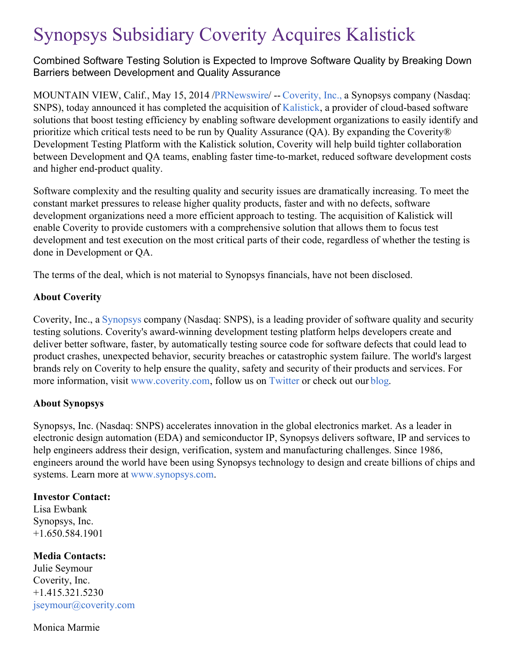# Synopsys Subsidiary Coverity Acquires Kalistick

Combined Software Testing Solution is Expected to Improve Software Quality by Breaking Down Barriers between Development and Quality Assurance

MOUNTAIN VIEW, Calif., May 15, 2014 [/PRNewswire](http://www.prnewswire.com/)/ -- [Coverity,](http://www.coverity.com/) Inc., a Synopsys company (Nasdaq: SNPS), today announced it has completed the acquisition of [Kalistick](http://www.kalistick.com/), a provider of cloud-based software solutions that boost testing efficiency by enabling software development organizations to easily identify and prioritize which critical tests need to be run by Quality Assurance (QA). By expanding the Coverity® Development Testing Platform with the Kalistick solution, Coverity will help build tighter collaboration between Development and QA teams, enabling faster time-to-market, reduced software development costs and higher end-product quality.

Software complexity and the resulting quality and security issues are dramatically increasing. To meet the constant market pressures to release higher quality products, faster and with no defects, software development organizations need a more efficient approach to testing. The acquisition of Kalistick will enable Coverity to provide customers with a comprehensive solution that allows them to focus test development and test execution on the most critical parts of their code, regardless of whether the testing is done in Development or QA.

The terms of the deal, which is not material to Synopsys financials, have not been disclosed.

# **About Coverity**

Coverity, Inc., a [Synopsys](http://www.synopsys.com/) company (Nasdaq: SNPS), is a leading provider of software quality and security testing solutions. Coverity's award-winning development testing platform helps developers create and deliver better software, faster, by automatically testing source code for software defects that could lead to product crashes, unexpected behavior, security breaches or catastrophic system failure. The world's largest brands rely on Coverity to help ensure the quality, safety and security of their products and services. For more information, visit [www.coverity.com](http://www.coverity.com/), follow us on [Twitter](http://www.twitter.com/coverity) or check out our [blog](http://blog.coverity.com/).

# **About Synopsys**

Synopsys, Inc. (Nasdaq: SNPS) accelerates innovation in the global electronics market. As a leader in electronic design automation (EDA) and semiconductor IP, Synopsys delivers software, IP and services to help engineers address their design, verification, system and manufacturing challenges. Since 1986, engineers around the world have been using Synopsys technology to design and create billions of chips and systems. Learn more at [www.synopsys.com](http://www.synopsys.com/).

### **Investor Contact:**

Lisa Ewbank Synopsys, Inc. +1.650.584.1901

# **Media Contacts:**

Julie Seymour Coverity, Inc. +1.415.321.5230 [jseymour@coverity.com](mailto:jseymour@coverity.com)

### Monica Marmie